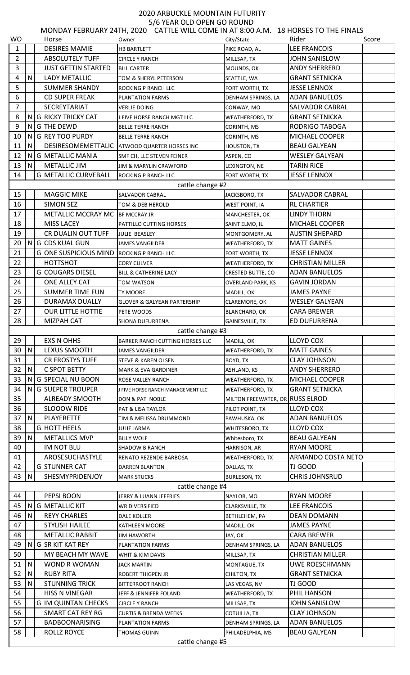## 2020 ARBUCKLE MOUNTAIN FUTURITY 5/6 YEAR OLD OPEN GO ROUND

| MONDAY FEBRUARY 24TH, 2020 CATTLE WILL COME IN AT 8:00 A.M. 18 HORSES TO THE FINALS |                  |  |                                                      |                                              |                                      |                                              |       |  |  |  |
|-------------------------------------------------------------------------------------|------------------|--|------------------------------------------------------|----------------------------------------------|--------------------------------------|----------------------------------------------|-------|--|--|--|
| <b>WO</b>                                                                           |                  |  | Horse                                                | Owner                                        | City/State                           | Rider                                        | Score |  |  |  |
| $\mathbf{1}$                                                                        |                  |  | <b>DESIRES MAMIE</b>                                 | <b>HB BARTLETT</b>                           | PIKE ROAD, AL                        | LEE FRANCOIS                                 |       |  |  |  |
| $\overline{2}$                                                                      |                  |  | <b>ABSOLUTELY TUFF</b><br><b>JUST GETTIN STARTED</b> | <b>CIRCLE Y RANCH</b>                        | MILLSAP, TX                          | JOHN SANISLOW                                |       |  |  |  |
| 3<br>4                                                                              | N                |  |                                                      | <b>BILL CARTER</b>                           | MOUNDS, OK                           | <b>ANDY SHERRERD</b>                         |       |  |  |  |
| 5                                                                                   |                  |  | LADY METALLIC<br><b>SUMMER SHANDY</b>                | TOM & SHERYL PETERSON                        | SEATTLE, WA                          | <b>GRANT SETNICKA</b><br><b>JESSE LENNOX</b> |       |  |  |  |
| 6                                                                                   |                  |  | <b>CD SUPER FREAK</b>                                | ROCKING P RANCH LLC                          | FORT WORTH, TX<br>DENHAM SPRINGS, LA | <b>ADAN BANUELOS</b>                         |       |  |  |  |
| 7                                                                                   |                  |  | <b>SECREYTARIAT</b>                                  | PLANTATION FARMS<br>VERLIE DOING             |                                      | <b>SALVADOR CABRAL</b>                       |       |  |  |  |
| 8                                                                                   |                  |  | N G RICKY TRICKY CAT                                 | J FIVE HORSE RANCH MGT LLC                   | CONWAY, MO<br>WEATHERFORD, TX        | <b>GRANT SETNICKA</b>                        |       |  |  |  |
| 9                                                                                   |                  |  | N G THE DEWD                                         | <b>BELLE TERRE RANCH</b>                     | CORINTH, MS                          | RODRIGO TABOGA                               |       |  |  |  |
| 10                                                                                  |                  |  | N G REY TOO PURDY                                    | <b>BELLE TERRE RANCH</b>                     | CORINTH, MS                          | MICHAEL COOPER                               |       |  |  |  |
| 11                                                                                  | N                |  |                                                      | DESIRESOMEMETTALIC ATWOOD QUARTER HORSES INC | <b>HOUSTON, TX</b>                   | <b>BEAU GALYEAN</b>                          |       |  |  |  |
| 12                                                                                  |                  |  | N G METALLIC MANIA                                   | SMF CH, LLC STEVEN FEINER                    | ASPEN, CO                            | <b>WESLEY GALYEAN</b>                        |       |  |  |  |
| 13                                                                                  | N                |  | <b>METALLIC JIM</b>                                  | JIM & MARYLIN CRAWFORD                       | LEXINGTON, NE                        | <b>TARIN RICE</b>                            |       |  |  |  |
| 14                                                                                  |                  |  | <b>G METALLIC CURVEBALL</b>                          | ROCKING P RANCH LLC                          | FORT WORTH, TX                       | <b>JESSE LENNOX</b>                          |       |  |  |  |
| cattle change #2                                                                    |                  |  |                                                      |                                              |                                      |                                              |       |  |  |  |
| 15                                                                                  |                  |  | <b>MAGGIC MIKE</b>                                   | SALVADOR CABRAL                              | JACKSBORO, TX                        | SALVADOR CABRAL                              |       |  |  |  |
| 16                                                                                  |                  |  | <b>SIMON SEZ</b>                                     | TOM & DEB HEROLD                             | <b>WEST POINT, IA</b>                | <b>RL CHARTIER</b>                           |       |  |  |  |
| 17                                                                                  |                  |  | METALLIC MCCRAY MC                                   | <b>BF MCCRAY JR</b>                          | <b>MANCHESTER, OK</b>                | <b>LINDY THORN</b>                           |       |  |  |  |
| 18                                                                                  |                  |  | <b>MISS LACEY</b>                                    | PATTILLO CUTTING HORSES                      | SAINT ELMO, IL                       | MICHAEL COOPER                               |       |  |  |  |
| 19                                                                                  |                  |  | CR DUALIN OUT TUFF                                   | JULIE BEASLEY                                | MONTGOMERY, AL                       | <b>AUSTIN SHEPARD</b>                        |       |  |  |  |
| 20                                                                                  |                  |  | N G CDS KUAL GUN                                     | JAMES VANGILDER                              | <b>WEATHERFORD, TX</b>               | <b>MATT GAINES</b>                           |       |  |  |  |
| 21                                                                                  |                  |  | <b>GONE SUSPICIOUS MIND</b>                          | <b>ROCKING P RANCH LLC</b>                   | FORT WORTH, TX                       | <b>JESSE LENNOX</b>                          |       |  |  |  |
| 22                                                                                  |                  |  | <b>HOTTSHOT</b>                                      | <b>CORY CULVER</b>                           | WEATHERFORD, TX                      | <b>CHRISTIAN MILLER</b>                      |       |  |  |  |
| 23                                                                                  |                  |  | G COUGARS DIESEL                                     | <b>BILL &amp; CATHERINE LACY</b>             | CRESTED BUTTE, CO                    | <b>ADAN BANUELOS</b>                         |       |  |  |  |
| 24                                                                                  |                  |  | ONE ALLEY CAT                                        | TOM WATSON                                   | <b>OVERLAND PARK, KS</b>             | <b>GAVIN JORDAN</b>                          |       |  |  |  |
| 25                                                                                  |                  |  | <b>SUMMER TIME FUN</b>                               | TY MOORE                                     | MADILL, OK                           | <b>JAMES PAYNE</b>                           |       |  |  |  |
| 26                                                                                  |                  |  | <b>DURAMAX DUALLY</b>                                | <b>GLOVER &amp; GALYEAN PARTERSHIP</b>       | CLAREMORE, OK                        | <b>WESLEY GALYEAN</b>                        |       |  |  |  |
| 27                                                                                  |                  |  | <b>OUR LITTLE HOTTIE</b>                             | PETE WOODS                                   | <b>BLANCHARD, OK</b>                 | <b>CARA BREWER</b>                           |       |  |  |  |
| 28                                                                                  |                  |  | <b>MIZPAH CAT</b>                                    | <b>SHONA DUFURRENA</b>                       | GAINESVILLE, TX                      | <b>ED DUFURRENA</b>                          |       |  |  |  |
|                                                                                     |                  |  |                                                      | cattle change #3                             |                                      |                                              |       |  |  |  |
| 29                                                                                  |                  |  | <b>EXS N OHHS</b>                                    | BARKER RANCH CUTTING HORSES LLC              | MADILL, OK                           | <b>LLOYD COX</b>                             |       |  |  |  |
| 30                                                                                  | $\mathsf{N}$     |  | LEXUS SMOOTH                                         | JAMES VANGILDER                              | <b>WEATHERFORD, TX</b>               | <b>MATT GAINES</b>                           |       |  |  |  |
| 31                                                                                  |                  |  | <b>CR FROSTYS TUFF</b>                               | STEVE & KAREN OLSEN                          | BOYD, TX                             | <b>CLAY JOHNSON</b>                          |       |  |  |  |
| 32                                                                                  | N                |  | C SPOT BETTY                                         | <b>MARK &amp; EVA GARDINER</b>               | ASHLAND, KS                          | <b>ANDY SHERRERD</b>                         |       |  |  |  |
| 33                                                                                  | N                |  | <b>G SPECIAL NU BOON</b>                             | ROSE VALLEY RANCH                            | WEATHERFORD, TX                      | MICHAEL COOPER                               |       |  |  |  |
| 34                                                                                  |                  |  | N G SUEPER TROUPER                                   | J FIVE HORSE RANCH MANAGEMENT LLC            | <b>WEATHERFORD, TX</b>               | <b>GRANT SETNICKA</b>                        |       |  |  |  |
| 35                                                                                  |                  |  | <b>ALREADY SMOOTH</b>                                | DON & PAT NOBLE                              | MILTON FREEWATER, OR RUSS ELROD      |                                              |       |  |  |  |
| 36                                                                                  |                  |  | SLOOOW RIDE                                          | PAT & LISA TAYLOR                            | PILOT POINT, TX                      | <b>LLOYD COX</b>                             |       |  |  |  |
| 37                                                                                  | $\mathsf{N}$     |  | PLAYERETTE                                           | TIM & MELISSA DRUMMOND                       | PAWHUSKA, OK                         | <b>ADAN BANUELOS</b>                         |       |  |  |  |
| 38                                                                                  |                  |  | G HOTT HEELS                                         | JULIE JARMA                                  | WHITESBORO, TX                       | <b>LLOYD COX</b>                             |       |  |  |  |
| 39                                                                                  | N                |  | <b>METALLICS MVP</b>                                 | <b>BILLY WOLF</b>                            | Whitesboro, TX                       | <b>BEAU GALYEAN</b>                          |       |  |  |  |
| 40                                                                                  |                  |  | <b>IM NOT BLU</b>                                    | <b>SHADOW B RANCH</b>                        | HARRISON, AR                         | <b>RYAN MOORE</b>                            |       |  |  |  |
| 41                                                                                  |                  |  | AROSESUCHASTYLE                                      | RENATO REZENDE BARBOSA                       | WEATHERFORD, TX                      | ARMANDO COSTA NETO                           |       |  |  |  |
| 42                                                                                  |                  |  | <b>G</b> STUNNER CAT                                 | <b>DARREN BLANTON</b>                        | DALLAS, TX                           | TJ GOOD                                      |       |  |  |  |
| 43                                                                                  | ${\sf N}$        |  | SHESMYPRIDENJOY                                      | <b>MARK STUCKS</b>                           | <b>BURLESON, TX</b>                  | <b>CHRIS JOHNSRUD</b>                        |       |  |  |  |
|                                                                                     | cattle change #4 |  |                                                      |                                              |                                      |                                              |       |  |  |  |
| 44                                                                                  |                  |  | PEPSI BOON                                           | JERRY & LUANN JEFFRIES                       | NAYLOR, MO                           | <b>RYAN MOORE</b>                            |       |  |  |  |
| 45                                                                                  |                  |  | N G METALLIC KIT                                     | <b>WR DIVERSIFIED</b>                        | CLARKSVILLE, TX                      | <b>LEE FRANCOIS</b>                          |       |  |  |  |
| 46                                                                                  | $\mathsf{N}$     |  | <b>REYY CHARLES</b>                                  | DALE KOLLER                                  | BETHLEHEM, PA                        | <b>DEAN DOMANN</b>                           |       |  |  |  |
| 47                                                                                  |                  |  | <b>STYLISH HAILEE</b>                                | KATHLEEN MOORE                               | MADILL, OK                           | <b>JAMES PAYNE</b>                           |       |  |  |  |
| 48                                                                                  |                  |  | <b>METALLIC RABBIT</b>                               | <b>JIM HAWORTH</b>                           | JAY, OK                              | <b>CARA BREWER</b>                           |       |  |  |  |
| 49                                                                                  |                  |  | N G SR KIT KAT REY                                   | PLANTATION FARMS                             | DENHAM SPRINGS, LA                   | <b>ADAN BANUELOS</b>                         |       |  |  |  |
| 50                                                                                  |                  |  | MY BEACH MY WAVE                                     | WHIT & KIM DAVIS                             | MILLSAP, TX                          | <b>CHRISTIAN MILLER</b>                      |       |  |  |  |
| 51                                                                                  | $\mathsf{N}$     |  | <b>WOND R WOMAN</b>                                  | JACK MARTIN                                  | MONTAGUE, TX                         | <b>UWE ROESCHMANN</b>                        |       |  |  |  |
| 52                                                                                  | $\mathsf{N}$     |  | <b>RUBY RITA</b>                                     | ROBERT THIGPEN JR                            | CHILTON, TX                          | <b>GRANT SETNICKA</b>                        |       |  |  |  |
| 53                                                                                  | $\mathsf{N}$     |  | <b>STUNNING TRICK</b>                                | <b>BITTERROOT RANCH</b>                      | LAS VEGAS, NV                        | TJ GOOD                                      |       |  |  |  |
| 54                                                                                  |                  |  | <b>HISS N VINEGAR</b>                                | JEFF & JENNIFER FOLAND                       | WEATHERFORD, TX                      | PHIL HANSON                                  |       |  |  |  |
| 55                                                                                  |                  |  | <b>G IM QUINTAN CHECKS</b>                           | <b>CIRCLE Y RANCH</b>                        | MILLSAP, TX                          | JOHN SANISLOW                                |       |  |  |  |
| 56                                                                                  |                  |  | <b>SMART CAT REY RG</b>                              | CURTIS & BRENDA WEEKS                        | COTUILLA, TX                         | <b>CLAY JOHNSON</b>                          |       |  |  |  |
| 57                                                                                  |                  |  | <b>BADBOONARISING</b>                                | PLANTATION FARMS                             | DENHAM SPRINGS, LA                   | <b>ADAN BANUELOS</b>                         |       |  |  |  |
| 58                                                                                  |                  |  | ROLLZ ROYCE                                          | THOMAS GUINN                                 | PHILADELPHIA, MS                     | <b>BEAU GALYEAN</b>                          |       |  |  |  |
|                                                                                     |                  |  |                                                      | cattle change #5                             |                                      |                                              |       |  |  |  |